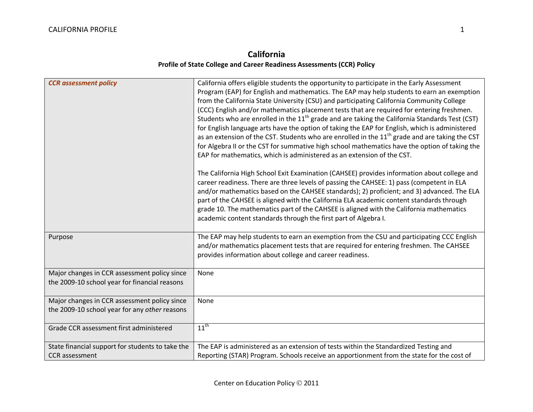## **California Profile of State College and Career Readiness Assessments (CCR) Policy**

| <b>CCR</b> assessment policy                                                                  | California offers eligible students the opportunity to participate in the Early Assessment<br>Program (EAP) for English and mathematics. The EAP may help students to earn an exemption<br>from the California State University (CSU) and participating California Community College<br>(CCC) English and/or mathematics placement tests that are required for entering freshmen.<br>Students who are enrolled in the 11 <sup>th</sup> grade and are taking the California Standards Test (CST)<br>for English language arts have the option of taking the EAP for English, which is administered<br>as an extension of the CST. Students who are enrolled in the 11 <sup>th</sup> grade and are taking the CST<br>for Algebra II or the CST for summative high school mathematics have the option of taking the<br>EAP for mathematics, which is administered as an extension of the CST.<br>The California High School Exit Examination (CAHSEE) provides information about college and |
|-----------------------------------------------------------------------------------------------|-------------------------------------------------------------------------------------------------------------------------------------------------------------------------------------------------------------------------------------------------------------------------------------------------------------------------------------------------------------------------------------------------------------------------------------------------------------------------------------------------------------------------------------------------------------------------------------------------------------------------------------------------------------------------------------------------------------------------------------------------------------------------------------------------------------------------------------------------------------------------------------------------------------------------------------------------------------------------------------------|
|                                                                                               | career readiness. There are three levels of passing the CAHSEE: 1) pass (competent in ELA<br>and/or mathematics based on the CAHSEE standards); 2) proficient; and 3) advanced. The ELA<br>part of the CAHSEE is aligned with the California ELA academic content standards through<br>grade 10. The mathematics part of the CAHSEE is aligned with the California mathematics<br>academic content standards through the first part of Algebra I.                                                                                                                                                                                                                                                                                                                                                                                                                                                                                                                                         |
| Purpose                                                                                       | The EAP may help students to earn an exemption from the CSU and participating CCC English<br>and/or mathematics placement tests that are required for entering freshmen. The CAHSEE<br>provides information about college and career readiness.                                                                                                                                                                                                                                                                                                                                                                                                                                                                                                                                                                                                                                                                                                                                           |
| Major changes in CCR assessment policy since<br>the 2009-10 school year for financial reasons | None                                                                                                                                                                                                                                                                                                                                                                                                                                                                                                                                                                                                                                                                                                                                                                                                                                                                                                                                                                                      |
| Major changes in CCR assessment policy since<br>the 2009-10 school year for any other reasons | None                                                                                                                                                                                                                                                                                                                                                                                                                                                                                                                                                                                                                                                                                                                                                                                                                                                                                                                                                                                      |
| Grade CCR assessment first administered                                                       | $11^{\text{th}}$                                                                                                                                                                                                                                                                                                                                                                                                                                                                                                                                                                                                                                                                                                                                                                                                                                                                                                                                                                          |
| State financial support for students to take the<br><b>CCR</b> assessment                     | The EAP is administered as an extension of tests within the Standardized Testing and<br>Reporting (STAR) Program. Schools receive an apportionment from the state for the cost of                                                                                                                                                                                                                                                                                                                                                                                                                                                                                                                                                                                                                                                                                                                                                                                                         |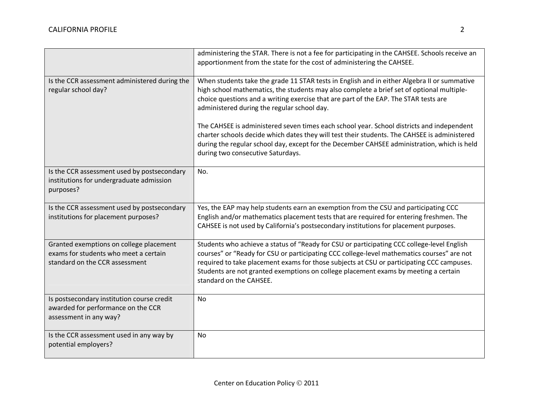|                                                                                                                    | administering the STAR. There is not a fee for participating in the CAHSEE. Schools receive an<br>apportionment from the state for the cost of administering the CAHSEE.                                                                                                                                                                                                                                |
|--------------------------------------------------------------------------------------------------------------------|---------------------------------------------------------------------------------------------------------------------------------------------------------------------------------------------------------------------------------------------------------------------------------------------------------------------------------------------------------------------------------------------------------|
| Is the CCR assessment administered during the<br>regular school day?                                               | When students take the grade 11 STAR tests in English and in either Algebra II or summative<br>high school mathematics, the students may also complete a brief set of optional multiple-<br>choice questions and a writing exercise that are part of the EAP. The STAR tests are<br>administered during the regular school day.                                                                         |
|                                                                                                                    | The CAHSEE is administered seven times each school year. School districts and independent<br>charter schools decide which dates they will test their students. The CAHSEE is administered<br>during the regular school day, except for the December CAHSEE administration, which is held<br>during two consecutive Saturdays.                                                                           |
| Is the CCR assessment used by postsecondary<br>institutions for undergraduate admission<br>purposes?               | No.                                                                                                                                                                                                                                                                                                                                                                                                     |
| Is the CCR assessment used by postsecondary<br>institutions for placement purposes?                                | Yes, the EAP may help students earn an exemption from the CSU and participating CCC<br>English and/or mathematics placement tests that are required for entering freshmen. The<br>CAHSEE is not used by California's postsecondary institutions for placement purposes.                                                                                                                                 |
| Granted exemptions on college placement<br>exams for students who meet a certain<br>standard on the CCR assessment | Students who achieve a status of "Ready for CSU or participating CCC college-level English<br>courses" or "Ready for CSU or participating CCC college-level mathematics courses" are not<br>required to take placement exams for those subjects at CSU or participating CCC campuses.<br>Students are not granted exemptions on college placement exams by meeting a certain<br>standard on the CAHSEE. |
| Is postsecondary institution course credit<br>awarded for performance on the CCR<br>assessment in any way?         | No                                                                                                                                                                                                                                                                                                                                                                                                      |
| Is the CCR assessment used in any way by<br>potential employers?                                                   | <b>No</b>                                                                                                                                                                                                                                                                                                                                                                                               |